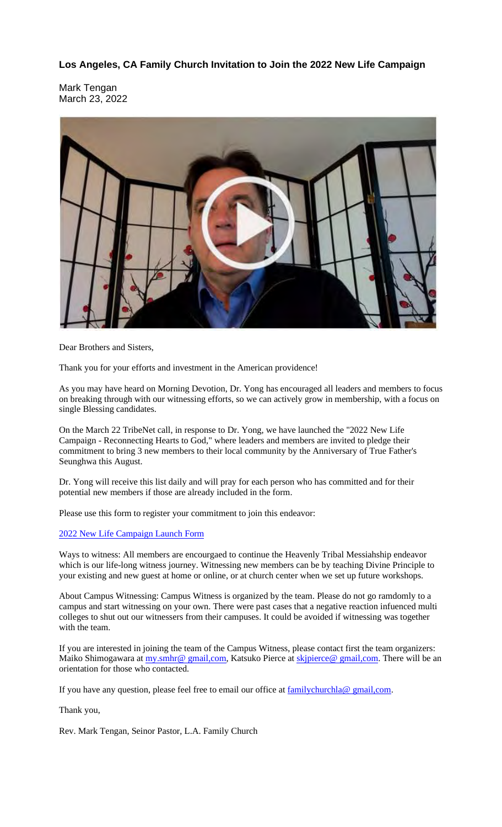**Los Angeles, CA Family Church Invitation to Join the 2022 New Life Campaign**

Mark Tengan March 23, 2022



Dear Brothers and Sisters,

Thank you for your efforts and investment in the American providence!

As you may have heard on Morning Devotion, Dr. Yong has encouraged all leaders and members to focus on breaking through with our witnessing efforts, so we can actively grow in membership, with a focus on single Blessing candidates.

On the March 22 TribeNet call, in response to Dr. Yong, we have launched the "2022 New Life Campaign - Reconnecting Hearts to God," where leaders and members are invited to pledge their commitment to bring 3 new members to their local community by the Anniversary of True Father's Seunghwa this August.

Dr. Yong will receive this list daily and will pray for each person who has committed and for their potential new members if those are already included in the form.

Please use this form to register your commitment to join this endeavor:

2022 New Life Campaign Launch Form

Ways to witness: All members are encourgaed to continue the Heavenly Tribal Messiahship endeavor which is our life-long witness journey. Witnessing new members can be by teaching Divine Principle to your existing and new guest at home or online, or at church center when we set up future workshops.

About Campus Witnessing: Campus Witness is organized by the team. Please do not go ramdomly to a campus and start witnessing on your own. There were past cases that a negative reaction infuenced multi colleges to shut out our witnessers from their campuses. It could be avoided if witnessing was together with the team.

If you are interested in joining the team of the Campus Witness, please contact first the team organizers: Maiko Shimogawara at my.smhr@ gmail,com, Katsuko Pierce at skipierce@ gmail,com. There will be an orientation for those who contacted.

If you have any question, please feel free to email our office at  $f_{amilychurchla@gmail,com.}$ 

Thank you,

Rev. Mark Tengan, Seinor Pastor, L.A. Family Church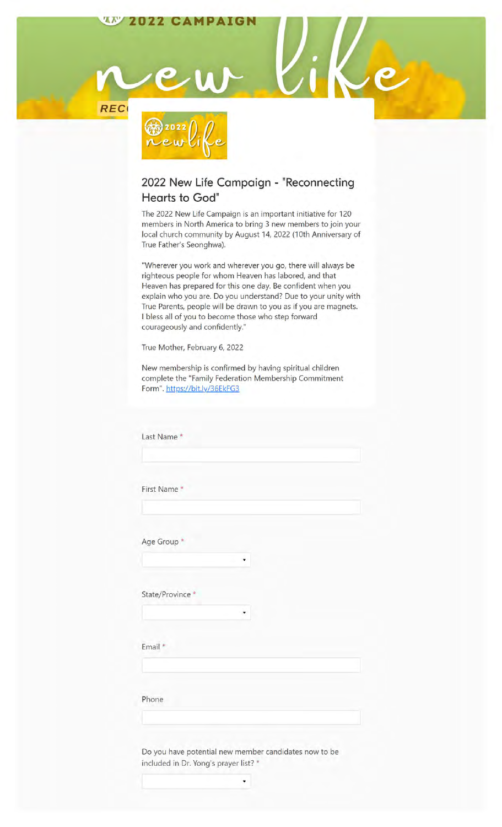

## **2022 New Life Campaign - "Reconnecting Hearts to God"**

The 2022 New Life Campaign is an important initiative for 120 members in North America to bring 3 new members to join your local church community by August 14, 2022 (10th Anniversary of True Father's Seonghwa).

"Wherever you work and wherever you go, there will always be righteous people for whom Heaven has labored, and that Heaven has prepared for this one day. Be confident when you explain who you are. Do you understand? Due to your unity with True Parents, people will be drawn to you as if you are magnets. I bless all of you to become those who step forward courageously and confidently."

True Mother, February 6, 2022

New membership is confirmed by having spiritual children complete the "Family Federation Membership Commitment Form". https://bit.ly/36EkFG3

 $\cdot$ 

Last Name \*

First Name \*

Age Group \*

State/Province \*

Email \*

Phone

Do you have potential new member candidates now to be included in Dr. Yong's prayer list? \*

٠